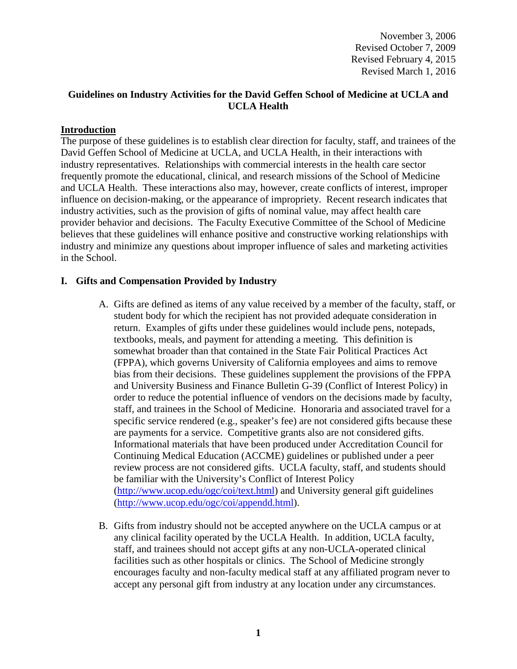# **Guidelines on Industry Activities for the David Geffen School of Medicine at UCLA and UCLA Health**

### **Introduction**

The purpose of these guidelines is to establish clear direction for faculty, staff, and trainees of the David Geffen School of Medicine at UCLA, and UCLA Health, in their interactions with industry representatives. Relationships with commercial interests in the health care sector frequently promote the educational, clinical, and research missions of the School of Medicine and UCLA Health. These interactions also may, however, create conflicts of interest, improper influence on decision-making, or the appearance of impropriety. Recent research indicates that industry activities, such as the provision of gifts of nominal value, may affect health care provider behavior and decisions. The Faculty Executive Committee of the School of Medicine believes that these guidelines will enhance positive and constructive working relationships with industry and minimize any questions about improper influence of sales and marketing activities in the School.

## **I. Gifts and Compensation Provided by Industry**

- A. Gifts are defined as items of any value received by a member of the faculty, staff, or student body for which the recipient has not provided adequate consideration in return. Examples of gifts under these guidelines would include pens, notepads, textbooks, meals, and payment for attending a meeting. This definition is somewhat broader than that contained in the State Fair Political Practices Act (FPPA), which governs University of California employees and aims to remove bias from their decisions. These guidelines supplement the provisions of the FPPA and University Business and Finance Bulletin G-39 (Conflict of Interest Policy) in order to reduce the potential influence of vendors on the decisions made by faculty, staff, and trainees in the School of Medicine. Honoraria and associated travel for a specific service rendered (e.g., speaker's fee) are not considered gifts because these are payments for a service. Competitive grants also are not considered gifts. Informational materials that have been produced under Accreditation Council for Continuing Medical Education (ACCME) guidelines or published under a peer review process are not considered gifts. UCLA faculty, staff, and students should be familiar with the University's Conflict of Interest Policy [\(http://www.ucop.edu/ogc/coi/text.html\)](http://www.ucop.edu/ogc/coi/text.html) and University general gift guidelines [\(http://www.ucop.edu/ogc/coi/appendd.html\)](http://www.ucop.edu/ogc/coi/appendd.html).
- B. Gifts from industry should not be accepted anywhere on the UCLA campus or at any clinical facility operated by the UCLA Health. In addition, UCLA faculty, staff, and trainees should not accept gifts at any non-UCLA-operated clinical facilities such as other hospitals or clinics. The School of Medicine strongly encourages faculty and non-faculty medical staff at any affiliated program never to accept any personal gift from industry at any location under any circumstances.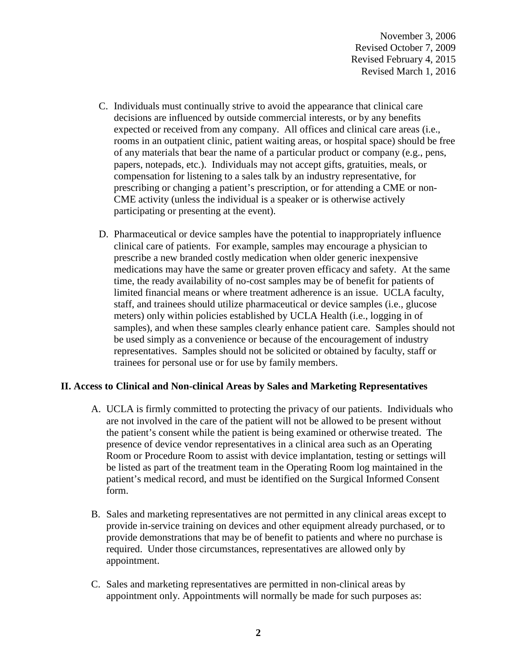- C. Individuals must continually strive to avoid the appearance that clinical care decisions are influenced by outside commercial interests, or by any benefits expected or received from any company. All offices and clinical care areas (i.e., rooms in an outpatient clinic, patient waiting areas, or hospital space) should be free of any materials that bear the name of a particular product or company (e.g., pens, papers, notepads, etc.). Individuals may not accept gifts, gratuities, meals, or compensation for listening to a sales talk by an industry representative, for prescribing or changing a patient's prescription, or for attending a CME or non-CME activity (unless the individual is a speaker or is otherwise actively participating or presenting at the event).
- D. Pharmaceutical or device samples have the potential to inappropriately influence clinical care of patients. For example, samples may encourage a physician to prescribe a new branded costly medication when older generic inexpensive medications may have the same or greater proven efficacy and safety. At the same time, the ready availability of no-cost samples may be of benefit for patients of limited financial means or where treatment adherence is an issue. UCLA faculty, staff, and trainees should utilize pharmaceutical or device samples (i.e., glucose meters) only within policies established by UCLA Health (i.e., logging in of samples), and when these samples clearly enhance patient care. Samples should not be used simply as a convenience or because of the encouragement of industry representatives. Samples should not be solicited or obtained by faculty, staff or trainees for personal use or for use by family members.

### **II. Access to Clinical and Non-clinical Areas by Sales and Marketing Representatives**

- A. UCLA is firmly committed to protecting the privacy of our patients. Individuals who are not involved in the care of the patient will not be allowed to be present without the patient's consent while the patient is being examined or otherwise treated. The presence of device vendor representatives in a clinical area such as an Operating Room or Procedure Room to assist with device implantation, testing or settings will be listed as part of the treatment team in the Operating Room log maintained in the patient's medical record, and must be identified on the Surgical Informed Consent form.
- B. Sales and marketing representatives are not permitted in any clinical areas except to provide in-service training on devices and other equipment already purchased, or to provide demonstrations that may be of benefit to patients and where no purchase is required. Under those circumstances, representatives are allowed only by appointment.
- C. Sales and marketing representatives are permitted in non-clinical areas by appointment only. Appointments will normally be made for such purposes as: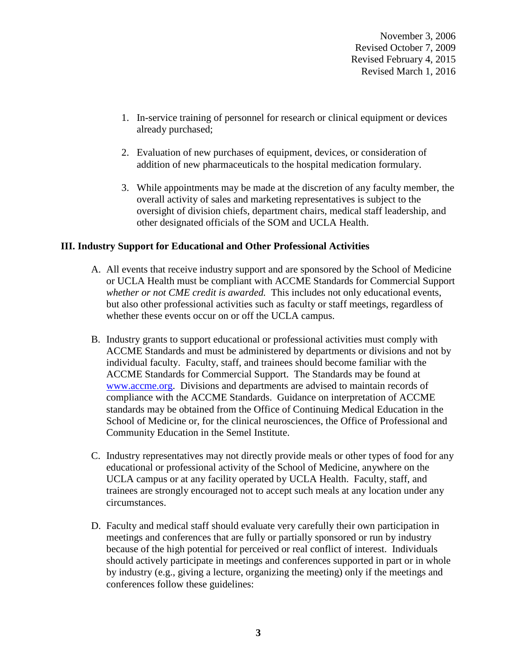- 1. In-service training of personnel for research or clinical equipment or devices already purchased;
- 2. Evaluation of new purchases of equipment, devices, or consideration of addition of new pharmaceuticals to the hospital medication formulary.
- 3. While appointments may be made at the discretion of any faculty member, the overall activity of sales and marketing representatives is subject to the oversight of division chiefs, department chairs, medical staff leadership, and other designated officials of the SOM and UCLA Health.

## **III. Industry Support for Educational and Other Professional Activities**

- A. All events that receive industry support and are sponsored by the School of Medicine or UCLA Health must be compliant with ACCME Standards for Commercial Support *whether or not CME credit is awarded.* This includes not only educational events, but also other professional activities such as faculty or staff meetings, regardless of whether these events occur on or off the UCLA campus.
- B. Industry grants to support educational or professional activities must comply with ACCME Standards and must be administered by departments or divisions and not by individual faculty. Faculty, staff, and trainees should become familiar with the ACCME Standards for Commercial Support. The Standards may be found at [www.accme.org.](http://www.accme.org/) Divisions and departments are advised to maintain records of compliance with the ACCME Standards. Guidance on interpretation of ACCME standards may be obtained from the Office of Continuing Medical Education in the School of Medicine or, for the clinical neurosciences, the Office of Professional and Community Education in the Semel Institute.
- C. Industry representatives may not directly provide meals or other types of food for any educational or professional activity of the School of Medicine, anywhere on the UCLA campus or at any facility operated by UCLA Health. Faculty, staff, and trainees are strongly encouraged not to accept such meals at any location under any circumstances.
- D. Faculty and medical staff should evaluate very carefully their own participation in meetings and conferences that are fully or partially sponsored or run by industry because of the high potential for perceived or real conflict of interest. Individuals should actively participate in meetings and conferences supported in part or in whole by industry (e.g., giving a lecture, organizing the meeting) only if the meetings and conferences follow these guidelines: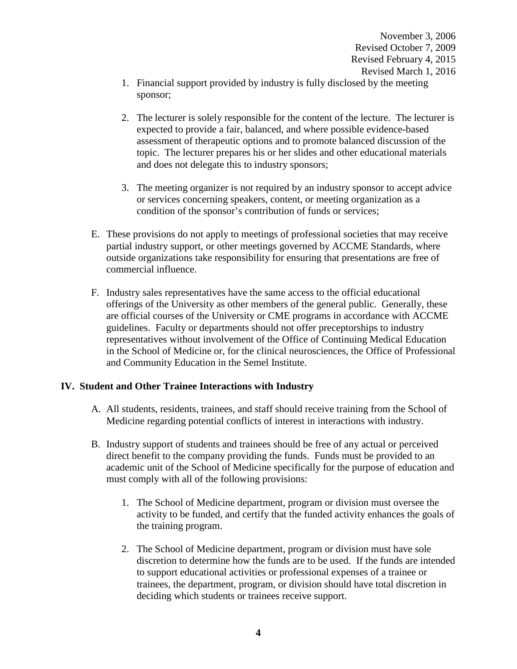- 1. Financial support provided by industry is fully disclosed by the meeting sponsor;
- 2. The lecturer is solely responsible for the content of the lecture. The lecturer is expected to provide a fair, balanced, and where possible evidence-based assessment of therapeutic options and to promote balanced discussion of the topic. The lecturer prepares his or her slides and other educational materials and does not delegate this to industry sponsors;
- 3. The meeting organizer is not required by an industry sponsor to accept advice or services concerning speakers, content, or meeting organization as a condition of the sponsor's contribution of funds or services;
- E. These provisions do not apply to meetings of professional societies that may receive partial industry support, or other meetings governed by ACCME Standards, where outside organizations take responsibility for ensuring that presentations are free of commercial influence.
- F. Industry sales representatives have the same access to the official educational offerings of the University as other members of the general public. Generally, these are official courses of the University or CME programs in accordance with ACCME guidelines. Faculty or departments should not offer preceptorships to industry representatives without involvement of the Office of Continuing Medical Education in the School of Medicine or, for the clinical neurosciences, the Office of Professional and Community Education in the Semel Institute.

### **IV. Student and Other Trainee Interactions with Industry**

- A. All students, residents, trainees, and staff should receive training from the School of Medicine regarding potential conflicts of interest in interactions with industry.
- B. Industry support of students and trainees should be free of any actual or perceived direct benefit to the company providing the funds. Funds must be provided to an academic unit of the School of Medicine specifically for the purpose of education and must comply with all of the following provisions:
	- 1. The School of Medicine department, program or division must oversee the activity to be funded, and certify that the funded activity enhances the goals of the training program.
	- 2. The School of Medicine department, program or division must have sole discretion to determine how the funds are to be used. If the funds are intended to support educational activities or professional expenses of a trainee or trainees, the department, program, or division should have total discretion in deciding which students or trainees receive support.